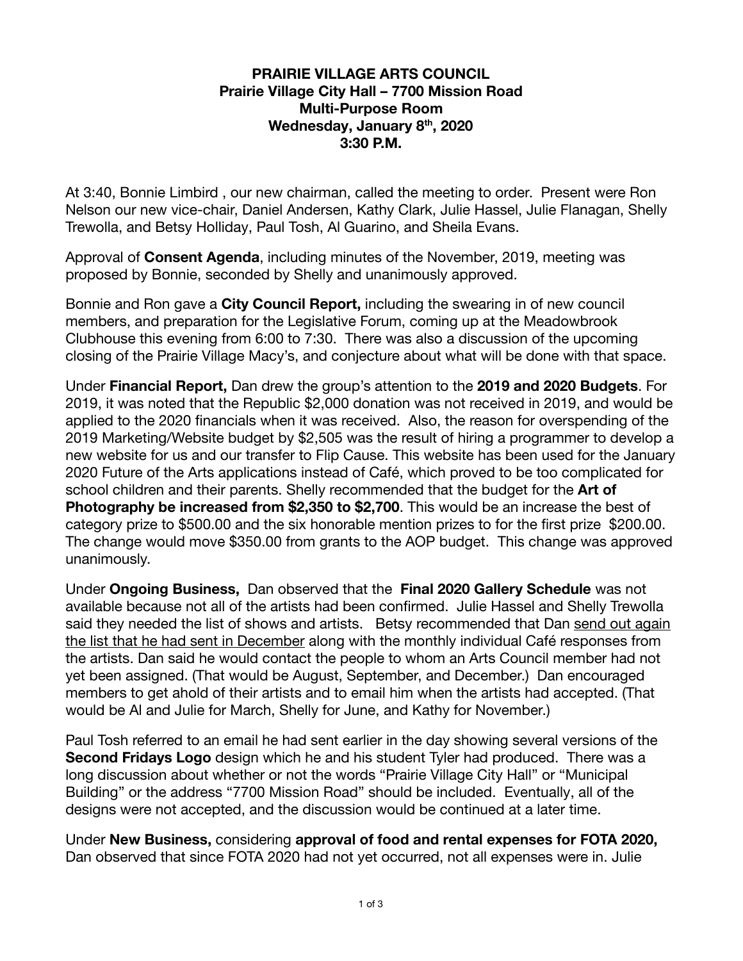## **PRAIRIE VILLAGE ARTS COUNCIL Prairie Village City Hall – 7700 Mission Road Multi-Purpose Room Wednesday, January 8 th , 2020 3:30 P.M.**

At 3:40, Bonnie Limbird , our new chairman, called the meeting to order. Present were Ron Nelson our new vice-chair, Daniel Andersen, Kathy Clark, Julie Hassel, Julie Flanagan, Shelly Trewolla, and Betsy Holliday, Paul Tosh, Al Guarino, and Sheila Evans.

Approval of **Consent Agenda** , including minutes of the November, 2019, meeting was proposed by Bonnie, seconded by Shelly and unanimously approved.

Bonnie and Ron gave a **City Council Report,** including the swearing in of new council members, and preparation for the Legislative Forum, coming up at the Meadowbrook Clubhouse this evening from 6:00 to 7:30. There was also a discussion of the upcoming closing of the Prairie Village Macy's, and conjecture about what will be done with that space.

Under **Financial Report,** Dan drew the group's attention to the **2019 and 2020 Budgets** . For 2019, it was noted that the Republic \$2,000 donation was not received in 2019, and would be applied to the 2020 financials when it was received. Also, the reason for overspending of the 2019 Marketing/Website budget by \$2,505 was the result of hiring a programmer to develop a new website for us and our transfer to Flip Cause. This website has been used for the January 2020 Future of the Arts applications instead of Café, which proved to be too complicated for school children and their parents. Shelly recommended that the budget for the **Art of Photography be increased from \$2,350 to \$2,700**. This would be an increase the best of category prize to \$500.00 and the six honorable mention prizes to for the first prize \$200.00. The change would move \$350.00 from grants to the AOP budget. This change was approved unanimously.

Under **Ongoing Business,** Dan observed that the **Final 2020 Gallery Schedule** was not available because not all of the artists had been confirmed. Julie Hassel and Shelly Trewolla said they needed the list of shows and artists. Betsy recommended that Dan send out again the list that he had sent in December along with the monthly individual Café responses from the artists. Dan said he would contact the people to whom an Arts Council member had not yet been assigned. (That would be August, September, and December.) Dan encouraged members to get ahold of their artists and to email him when the artists had accepted. (That would be Al and Julie for March, Shelly for June, and Kathy for November.)

Paul Tosh referred to an email he had sent earlier in the day showing several versions of the **Second Fridays Logo** design which he and his student Tyler had produced. There was a long discussion about whether or not the words "Prairie Village City Hall" or "Municipal Building" or the address "7700 Mission Road" should be included. Eventually, all of the designs were not accepted, and the discussion would be continued at a later time.

Under **New Business,** considering **approval of food and rental expenses for FOTA 2020,**  Dan observed that since FOTA 2020 had not yet occurred, not all expenses were in. Julie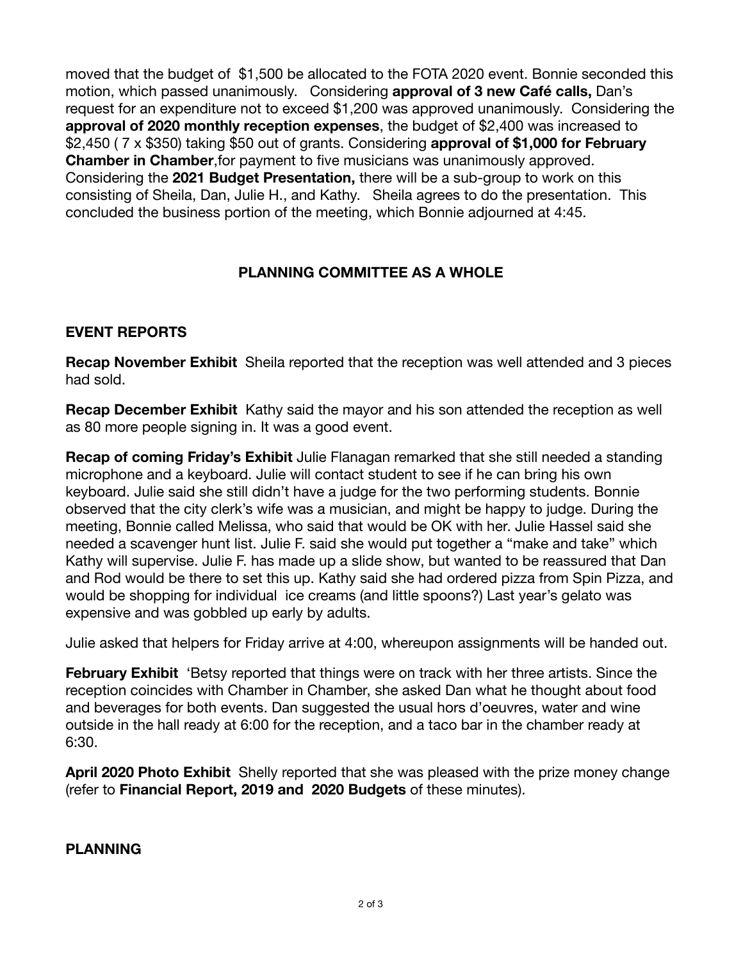moved that the budget of \$1,500 be allocated to the FOTA 2020 event. Bonnie seconded this motion, which passed unanimously. Considering **approval of 3 new Café calls,** Dan's request for an expenditure not to exceed \$1,200 was approved unanimously. Considering the **approval of 2020 monthly reception expenses** , the budget of \$2,400 was increased to \$2,450 ( 7 x \$350) taking \$50 out of grants. Considering **approval of \$1,000 for February Chamber in Chamber, for payment to five musicians was unanimously approved.** Considering the **2021 Budget Presentation,** there will be a sub-group to work on this consisting of Sheila, Dan, Julie H., and Kathy. Sheila agrees to do the presentation. This concluded the business portion of the meeting, which Bonnie adjourned at 4:45.

## **PLANNING COMMITTEE AS A WHOLE**

## **EVENT REPORTS**

**Recap November Exhibit** Sheila reported that the reception was well attended and 3 pieces had sold.

**Recap December Exhibit** Kathy said the mayor and his son attended the reception as well as 80 more people signing in. It was a good event.

**Recap of coming Friday's Exhibit** Julie Flanagan remarked that she still needed a standing microphone and a keyboard. Julie will contact student to see if he can bring his own keyboard. Julie said she still didn't have a judge for the two performing students. Bonnie observed that the city clerk's wife was a musician, and might be happy to judge. During the meeting, Bonnie called Melissa, who said that would be OK with her. Julie Hassel said she needed a scavenger hunt list. Julie F. said she would put together a "make and take" which Kathy will supervise. Julie F. has made up a slide show, but wanted to be reassured that Dan and Rod would be there to set this up. Kathy said she had ordered pizza from Spin Pizza, and would be shopping for individual ice creams (and little spoons?) Last year's gelato was expensive and was gobbled up early by adults.

Julie asked that helpers for Friday arrive at 4:00, whereupon assignments will be handed out.

**February Exhibit** 'Betsy reported that things were on track with her three artists. Since the reception coincides with Chamber in Chamber, she asked Dan what he thought about food and beverages for both events. Dan suggested the usual hors d'oeuvres, water and wine outside in the hall ready at 6:00 for the reception, and a taco bar in the chamber ready at 6:30.

**April 2020 Photo Exhibit** Shelly reported that she was pleased with the prize money change (refer to **Financial Report, 2019 and 2020 Budgets** of these minutes).

**PLANNING**